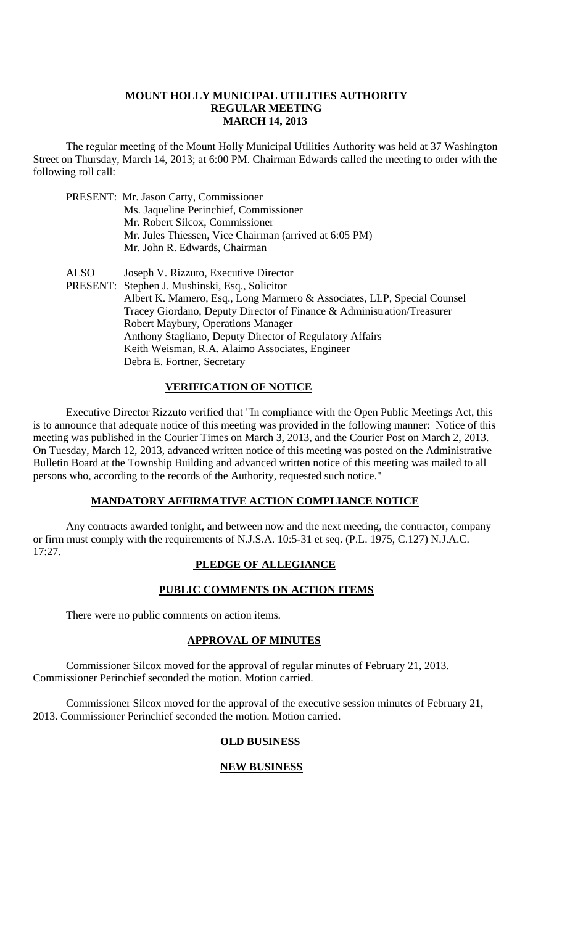#### **MOUNT HOLLY MUNICIPAL UTILITIES AUTHORITY REGULAR MEETING MARCH 14, 2013**

 The regular meeting of the Mount Holly Municipal Utilities Authority was held at 37 Washington Street on Thursday, March 14, 2013; at 6:00 PM. Chairman Edwards called the meeting to order with the following roll call:

|             | PRESENT: Mr. Jason Carty, Commissioner<br>Ms. Jaqueline Perinchief, Commissioner<br>Mr. Robert Silcox, Commissioner<br>Mr. Jules Thiessen, Vice Chairman (arrived at 6:05 PM)<br>Mr. John R. Edwards, Chairman                                                                                                                                                                                                                   |
|-------------|----------------------------------------------------------------------------------------------------------------------------------------------------------------------------------------------------------------------------------------------------------------------------------------------------------------------------------------------------------------------------------------------------------------------------------|
| <b>ALSO</b> | Joseph V. Rizzuto, Executive Director<br>PRESENT: Stephen J. Mushinski, Esq., Solicitor<br>Albert K. Mamero, Esq., Long Marmero & Associates, LLP, Special Counsel<br>Tracey Giordano, Deputy Director of Finance & Administration/Treasurer<br>Robert Maybury, Operations Manager<br>Anthony Stagliano, Deputy Director of Regulatory Affairs<br>Keith Weisman, R.A. Alaimo Associates, Engineer<br>Debra E. Fortner, Secretary |

# **VERIFICATION OF NOTICE**

 Executive Director Rizzuto verified that "In compliance with the Open Public Meetings Act, this is to announce that adequate notice of this meeting was provided in the following manner: Notice of this meeting was published in the Courier Times on March 3, 2013, and the Courier Post on March 2, 2013. On Tuesday, March 12, 2013, advanced written notice of this meeting was posted on the Administrative Bulletin Board at the Township Building and advanced written notice of this meeting was mailed to all persons who, according to the records of the Authority, requested such notice."

# **MANDATORY AFFIRMATIVE ACTION COMPLIANCE NOTICE**

 Any contracts awarded tonight, and between now and the next meeting, the contractor, company or firm must comply with the requirements of N.J.S.A. 10:5-31 et seq. (P.L. 1975, C.127) N.J.A.C. 17:27.

# **PLEDGE OF ALLEGIANCE**

# **PUBLIC COMMENTS ON ACTION ITEMS**

There were no public comments on action items.

# **APPROVAL OF MINUTES**

Commissioner Silcox moved for the approval of regular minutes of February 21, 2013. Commissioner Perinchief seconded the motion. Motion carried.

Commissioner Silcox moved for the approval of the executive session minutes of February 21, 2013. Commissioner Perinchief seconded the motion. Motion carried.

# **OLD BUSINESS**

# **NEW BUSINESS**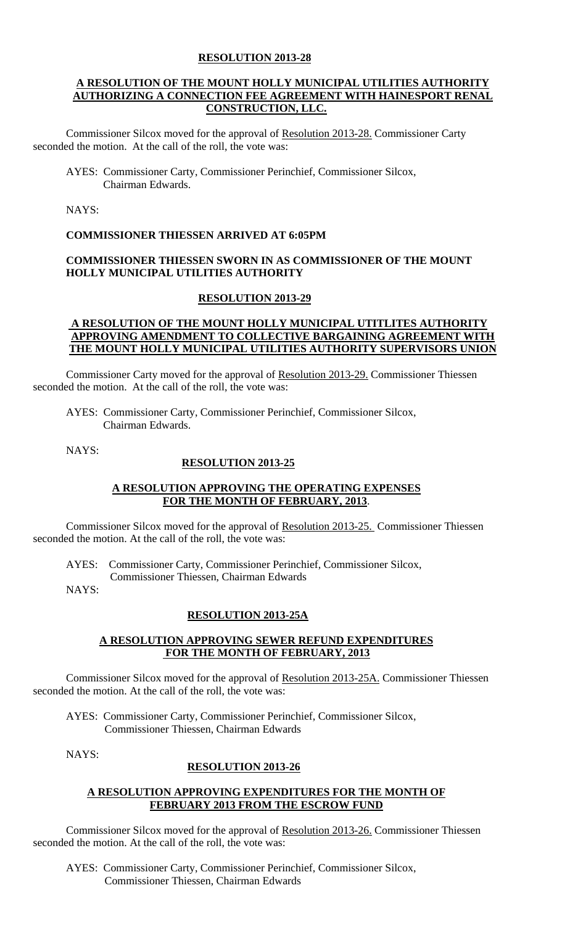### **RESOLUTION 2013-28**

### **A RESOLUTION OF THE MOUNT HOLLY MUNICIPAL UTILITIES AUTHORITY AUTHORIZING A CONNECTION FEE AGREEMENT WITH HAINESPORT RENAL CONSTRUCTION, LLC.**

Commissioner Silcox moved for the approval of Resolution 2013-28. Commissioner Carty seconded the motion. At the call of the roll, the vote was:

AYES: Commissioner Carty, Commissioner Perinchief, Commissioner Silcox, Chairman Edwards.

NAYS:

# **COMMISSIONER THIESSEN ARRIVED AT 6:05PM**

# **COMMISSIONER THIESSEN SWORN IN AS COMMISSIONER OF THE MOUNT HOLLY MUNICIPAL UTILITIES AUTHORITY**

#### **RESOLUTION 2013-29**

# **A RESOLUTION OF THE MOUNT HOLLY MUNICIPAL UTITLITES AUTHORITY APPROVING AMENDMENT TO COLLECTIVE BARGAINING AGREEMENT WITH THE MOUNT HOLLY MUNICIPAL UTILITIES AUTHORITY SUPERVISORS UNION**

Commissioner Carty moved for the approval of Resolution 2013-29. Commissioner Thiessen seconded the motion. At the call of the roll, the vote was:

AYES: Commissioner Carty, Commissioner Perinchief, Commissioner Silcox, Chairman Edwards.

NAYS:

# **RESOLUTION 2013-25**

# **A RESOLUTION APPROVING THE OPERATING EXPENSES FOR THE MONTH OF FEBRUARY, 2013**.

Commissioner Silcox moved for the approval of Resolution 2013-25. Commissioner Thiessen seconded the motion. At the call of the roll, the vote was:

AYES: Commissioner Carty, Commissioner Perinchief, Commissioner Silcox,

Commissioner Thiessen, Chairman Edwards

NAYS:

# **RESOLUTION 2013-25A**

# **A RESOLUTION APPROVING SEWER REFUND EXPENDITURES FOR THE MONTH OF FEBRUARY, 2013**

Commissioner Silcox moved for the approval of Resolution 2013-25A. Commissioner Thiessen seconded the motion. At the call of the roll, the vote was:

AYES: Commissioner Carty, Commissioner Perinchief, Commissioner Silcox, Commissioner Thiessen, Chairman Edwards

NAYS:

# **RESOLUTION 2013-26**

# **A RESOLUTION APPROVING EXPENDITURES FOR THE MONTH OF FEBRUARY 2013 FROM THE ESCROW FUND**

Commissioner Silcox moved for the approval of Resolution 2013-26. Commissioner Thiessen seconded the motion. At the call of the roll, the vote was:

AYES: Commissioner Carty, Commissioner Perinchief, Commissioner Silcox, Commissioner Thiessen, Chairman Edwards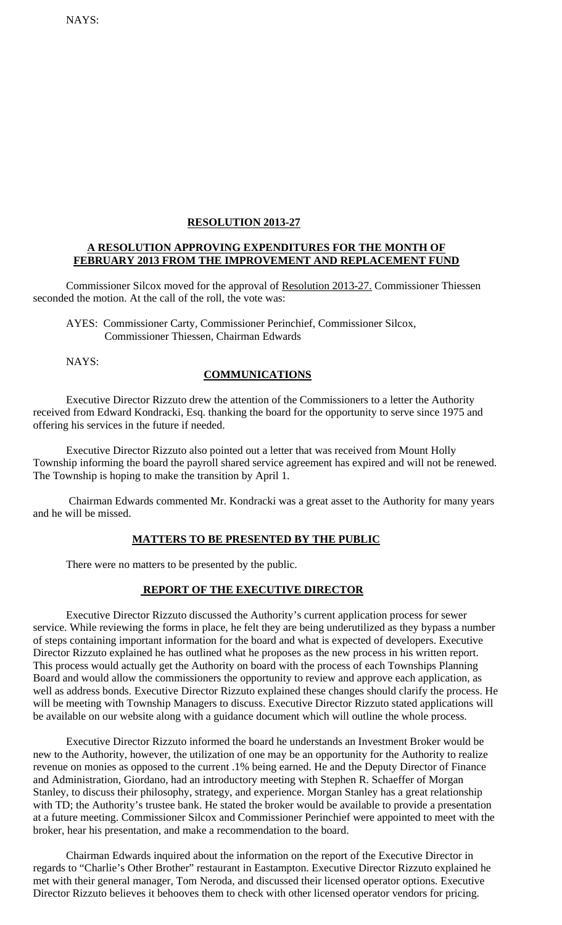NAYS:

### **RESOLUTION 2013-27**

#### **A RESOLUTION APPROVING EXPENDITURES FOR THE MONTH OF FEBRUARY 2013 FROM THE IMPROVEMENT AND REPLACEMENT FUND**

Commissioner Silcox moved for the approval of Resolution 2013-27. Commissioner Thiessen seconded the motion. At the call of the roll, the vote was:

AYES: Commissioner Carty, Commissioner Perinchief, Commissioner Silcox, Commissioner Thiessen, Chairman Edwards

NAYS:

# **COMMUNICATIONS**

Executive Director Rizzuto drew the attention of the Commissioners to a letter the Authority received from Edward Kondracki, Esq. thanking the board for the opportunity to serve since 1975 and offering his services in the future if needed.

 Executive Director Rizzuto also pointed out a letter that was received from Mount Holly Township informing the board the payroll shared service agreement has expired and will not be renewed. The Township is hoping to make the transition by April 1.

 Chairman Edwards commented Mr. Kondracki was a great asset to the Authority for many years and he will be missed.

#### **MATTERS TO BE PRESENTED BY THE PUBLIC**

There were no matters to be presented by the public.

#### **REPORT OF THE EXECUTIVE DIRECTOR**

 Executive Director Rizzuto discussed the Authority's current application process for sewer service. While reviewing the forms in place, he felt they are being underutilized as they bypass a number of steps containing important information for the board and what is expected of developers. Executive Director Rizzuto explained he has outlined what he proposes as the new process in his written report. This process would actually get the Authority on board with the process of each Townships Planning Board and would allow the commissioners the opportunity to review and approve each application, as well as address bonds. Executive Director Rizzuto explained these changes should clarify the process. He will be meeting with Township Managers to discuss. Executive Director Rizzuto stated applications will be available on our website along with a guidance document which will outline the whole process.

 Executive Director Rizzuto informed the board he understands an Investment Broker would be new to the Authority, however, the utilization of one may be an opportunity for the Authority to realize revenue on monies as opposed to the current .1% being earned. He and the Deputy Director of Finance and Administration, Giordano, had an introductory meeting with Stephen R. Schaeffer of Morgan Stanley, to discuss their philosophy, strategy, and experience. Morgan Stanley has a great relationship with TD; the Authority's trustee bank. He stated the broker would be available to provide a presentation at a future meeting. Commissioner Silcox and Commissioner Perinchief were appointed to meet with the broker, hear his presentation, and make a recommendation to the board.

 Chairman Edwards inquired about the information on the report of the Executive Director in regards to "Charlie's Other Brother" restaurant in Eastampton. Executive Director Rizzuto explained he met with their general manager, Tom Neroda, and discussed their licensed operator options. Executive Director Rizzuto believes it behooves them to check with other licensed operator vendors for pricing.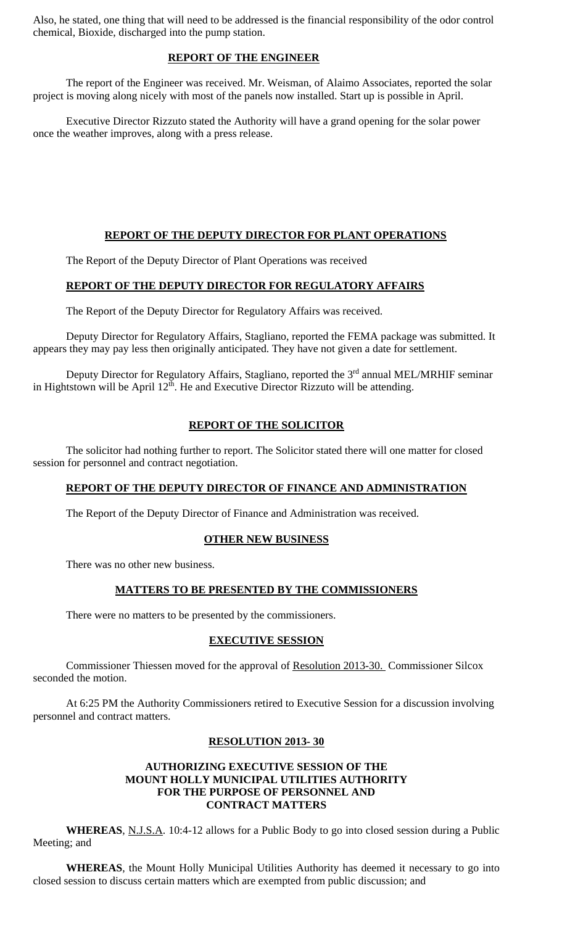Also, he stated, one thing that will need to be addressed is the financial responsibility of the odor control chemical, Bioxide, discharged into the pump station.

# **REPORT OF THE ENGINEER**

 The report of the Engineer was received. Mr. Weisman, of Alaimo Associates, reported the solar project is moving along nicely with most of the panels now installed. Start up is possible in April.

 Executive Director Rizzuto stated the Authority will have a grand opening for the solar power once the weather improves, along with a press release.

# **REPORT OF THE DEPUTY DIRECTOR FOR PLANT OPERATIONS**

The Report of the Deputy Director of Plant Operations was received

# **REPORT OF THE DEPUTY DIRECTOR FOR REGULATORY AFFAIRS**

The Report of the Deputy Director for Regulatory Affairs was received.

 Deputy Director for Regulatory Affairs, Stagliano, reported the FEMA package was submitted. It appears they may pay less then originally anticipated. They have not given a date for settlement.

Deputy Director for Regulatory Affairs, Stagliano, reported the 3<sup>rd</sup> annual MEL/MRHIF seminar in Hightstown will be April  $12<sup>th</sup>$ . He and Executive Director Rizzuto will be attending.

# **REPORT OF THE SOLICITOR**

 The solicitor had nothing further to report. The Solicitor stated there will one matter for closed session for personnel and contract negotiation.

# **REPORT OF THE DEPUTY DIRECTOR OF FINANCE AND ADMINISTRATION**

The Report of the Deputy Director of Finance and Administration was received.

# **OTHER NEW BUSINESS**

There was no other new business.

# **MATTERS TO BE PRESENTED BY THE COMMISSIONERS**

There were no matters to be presented by the commissioners.

# **EXECUTIVE SESSION**

 Commissioner Thiessen moved for the approval of Resolution 2013-30. Commissioner Silcox seconded the motion.

 At 6:25 PM the Authority Commissioners retired to Executive Session for a discussion involving personnel and contract matters.

# **RESOLUTION 2013- 30**

# **AUTHORIZING EXECUTIVE SESSION OF THE MOUNT HOLLY MUNICIPAL UTILITIES AUTHORITY FOR THE PURPOSE OF PERSONNEL AND CONTRACT MATTERS**

**WHEREAS**, N.J.S.A. 10:4-12 allows for a Public Body to go into closed session during a Public Meeting; and

**WHEREAS**, the Mount Holly Municipal Utilities Authority has deemed it necessary to go into closed session to discuss certain matters which are exempted from public discussion; and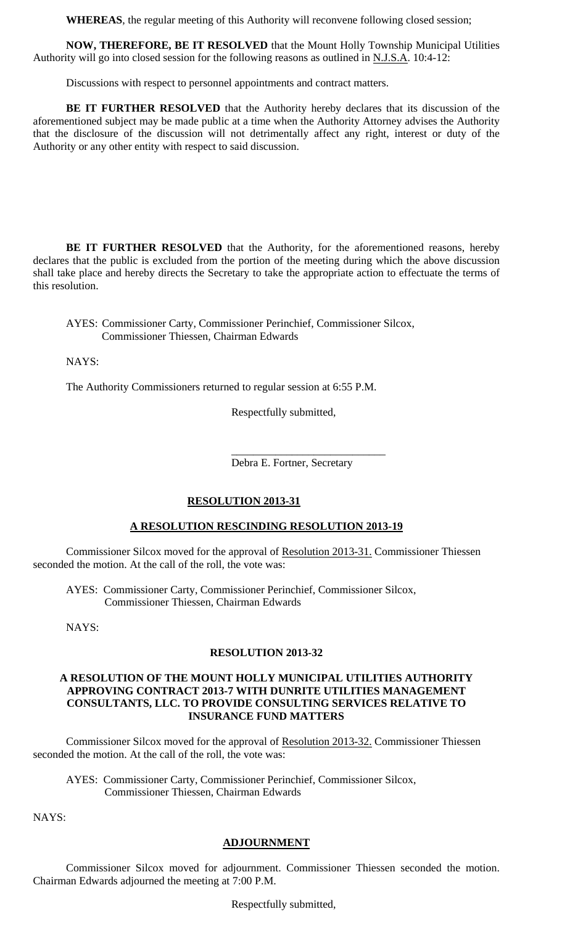**WHEREAS**, the regular meeting of this Authority will reconvene following closed session;

**NOW, THEREFORE, BE IT RESOLVED** that the Mount Holly Township Municipal Utilities Authority will go into closed session for the following reasons as outlined in N.J.S.A. 10:4-12:

Discussions with respect to personnel appointments and contract matters.

**BE IT FURTHER RESOLVED** that the Authority hereby declares that its discussion of the aforementioned subject may be made public at a time when the Authority Attorney advises the Authority that the disclosure of the discussion will not detrimentally affect any right, interest or duty of the Authority or any other entity with respect to said discussion.

**BE IT FURTHER RESOLVED** that the Authority, for the aforementioned reasons, hereby declares that the public is excluded from the portion of the meeting during which the above discussion shall take place and hereby directs the Secretary to take the appropriate action to effectuate the terms of this resolution.

AYES: Commissioner Carty, Commissioner Perinchief, Commissioner Silcox, Commissioner Thiessen, Chairman Edwards

NAYS:

The Authority Commissioners returned to regular session at 6:55 P.M.

 $\overline{\phantom{a}}$  , and the contract of the contract of the contract of the contract of the contract of the contract of the contract of the contract of the contract of the contract of the contract of the contract of the contrac

Respectfully submitted,

Debra E. Fortner, Secretary

# **RESOLUTION 2013-31**

# **A RESOLUTION RESCINDING RESOLUTION 2013-19**

Commissioner Silcox moved for the approval of Resolution 2013-31. Commissioner Thiessen seconded the motion. At the call of the roll, the vote was:

AYES: Commissioner Carty, Commissioner Perinchief, Commissioner Silcox, Commissioner Thiessen, Chairman Edwards

NAYS:

#### **RESOLUTION 2013-32**

#### **A RESOLUTION OF THE MOUNT HOLLY MUNICIPAL UTILITIES AUTHORITY APPROVING CONTRACT 2013-7 WITH DUNRITE UTILITIES MANAGEMENT CONSULTANTS, LLC. TO PROVIDE CONSULTING SERVICES RELATIVE TO INSURANCE FUND MATTERS**

Commissioner Silcox moved for the approval of Resolution 2013-32. Commissioner Thiessen seconded the motion. At the call of the roll, the vote was:

AYES: Commissioner Carty, Commissioner Perinchief, Commissioner Silcox, Commissioner Thiessen, Chairman Edwards

NAYS:

# **ADJOURNMENT**

 Commissioner Silcox moved for adjournment. Commissioner Thiessen seconded the motion. Chairman Edwards adjourned the meeting at 7:00 P.M.

Respectfully submitted,